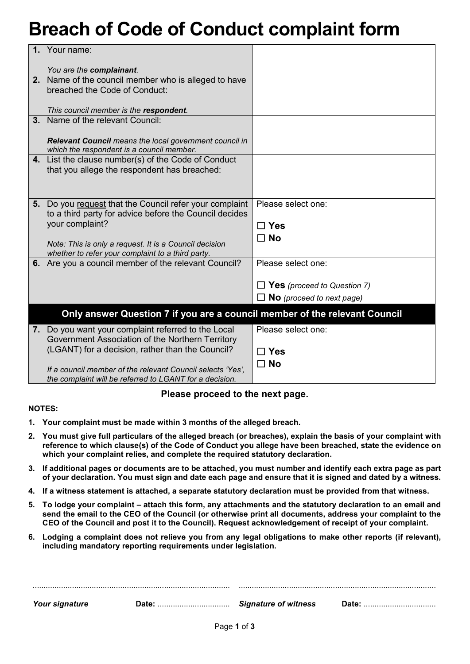# **Breach of Code of Conduct complaint form**

| $\mathbf 1$ . | Your name:                                                                 |                                    |
|---------------|----------------------------------------------------------------------------|------------------------------------|
|               |                                                                            |                                    |
|               | You are the complainant.                                                   |                                    |
|               | 2. Name of the council member who is alleged to have                       |                                    |
|               | breached the Code of Conduct:                                              |                                    |
|               |                                                                            |                                    |
|               | This council member is the respondent.                                     |                                    |
| 3.            | Name of the relevant Council:                                              |                                    |
|               |                                                                            |                                    |
|               | Relevant Council means the local government council in                     |                                    |
|               | which the respondent is a council member.                                  |                                    |
|               | 4. List the clause number(s) of the Code of Conduct                        |                                    |
|               | that you allege the respondent has breached:                               |                                    |
|               |                                                                            |                                    |
|               |                                                                            |                                    |
|               | 5. Do you request that the Council refer your complaint                    | Please select one:                 |
|               | to a third party for advice before the Council decides                     |                                    |
|               | your complaint?                                                            | $\Box$ Yes                         |
|               |                                                                            | $\square$ No                       |
|               | Note: This is only a request. It is a Council decision                     |                                    |
|               | whether to refer your complaint to a third party.                          |                                    |
|               | 6. Are you a council member of the relevant Council?                       | Please select one:                 |
|               |                                                                            |                                    |
|               |                                                                            | $\Box$ Yes (proceed to Question 7) |
|               |                                                                            | $\Box$ No (proceed to next page)   |
|               | Only answer Question 7 if you are a council member of the relevant Council |                                    |
|               |                                                                            |                                    |
|               | 7. Do you want your complaint referred to the Local                        | Please select one:                 |
|               | Government Association of the Northern Territory                           |                                    |
|               | (LGANT) for a decision, rather than the Council?                           | $\Box$ Yes                         |
|               |                                                                            | $\Box$ No                          |
|               | If a council member of the relevant Council selects 'Yes',                 |                                    |
|               | the complaint will be referred to LGANT for a decision.                    |                                    |

#### **Please proceed to the next page.**

#### **NOTES:**

- **1. Your complaint must be made within 3 months of the alleged breach.**
- **2. You must give full particulars of the alleged breach (or breaches), explain the basis of your complaint with reference to which clause(s) of the Code of Conduct you allege have been breached, state the evidence on which your complaint relies, and complete the required statutory declaration.**
- **3. If additional pages or documents are to be attached, you must number and identify each extra page as part of your declaration. You must sign and date each page and ensure that it is signed and dated by a witness.**
- **4. If a witness statement is attached, a separate statutory declaration must be provided from that witness.**
- **5. To lodge your complaint – attach this form, any attachments and the statutory declaration to an email and send the email to the CEO of the Council (or otherwise print all documents, address your complaint to the CEO of the Council and post it to the Council). Request acknowledgement of receipt of your complaint.**
- **6. Lodging a complaint does not relieve you from any legal obligations to make other reports (if relevant), including mandatory reporting requirements under legislation.**

| Your signature | Date:<br> | Signature of witness | Date: |
|----------------|-----------|----------------------|-------|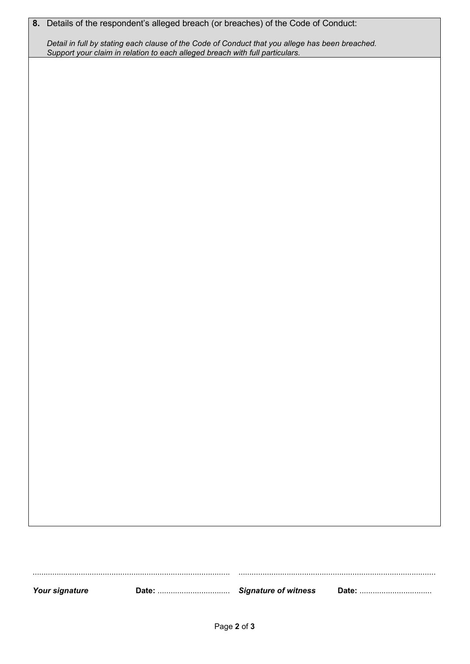|  |  |  |  | 8. Details of the respondent's alleged breach (or breaches) of the Code of Conduct: |
|--|--|--|--|-------------------------------------------------------------------------------------|
|--|--|--|--|-------------------------------------------------------------------------------------|

*Detail in full by stating each clause of the Code of Conduct that you allege has been breached. Support your claim in relation to each alleged breach with full particulars.*

.......................................................................................... .......................................................................................... *Your signature* **Date:** ................................. *Signature of witness* **Date:** .................................